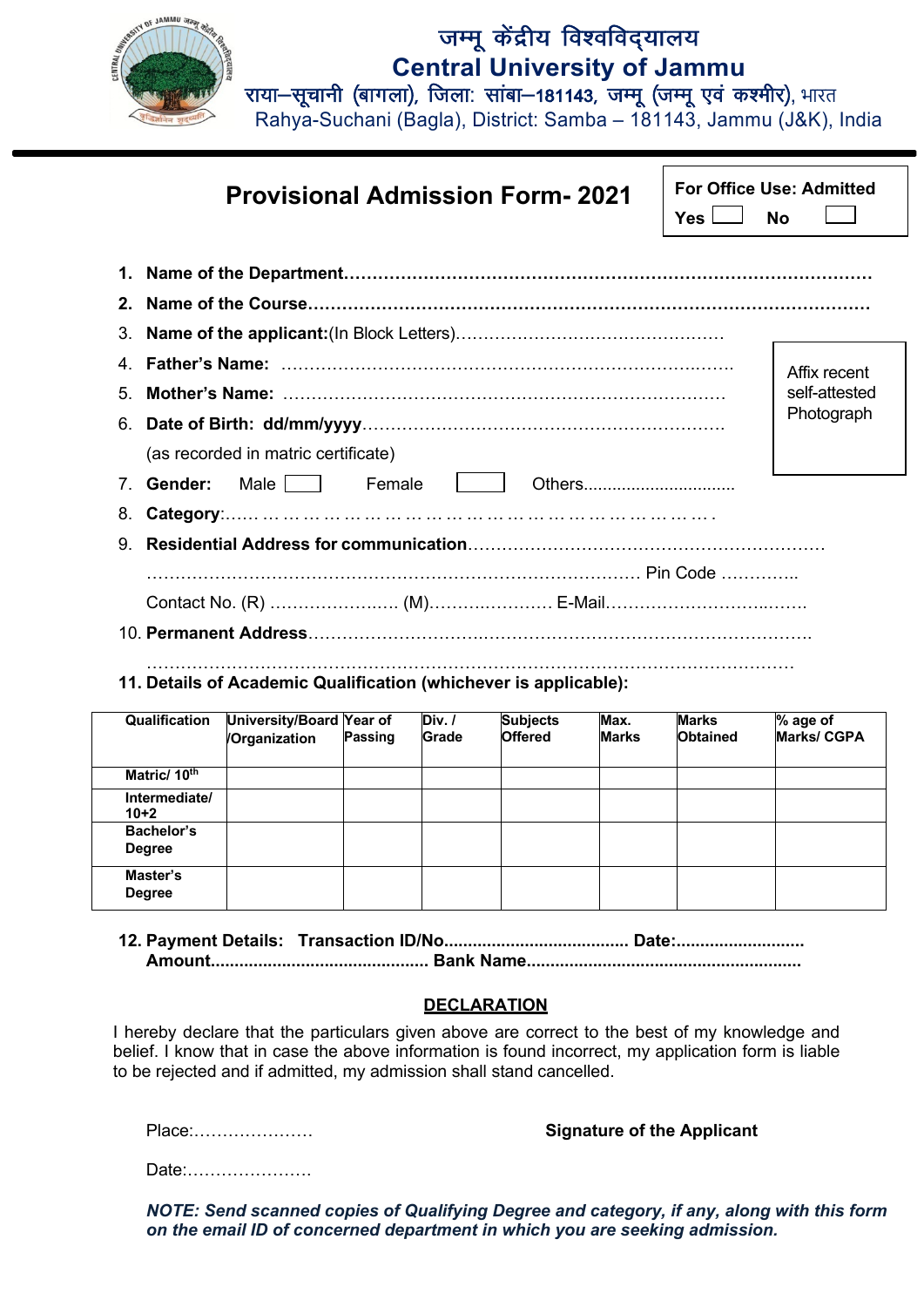

## जम्मू केंद्रीय विश्वविद्यालय **Central University of Jammu**

राया-सूचानी (बागला), जिला: सांबा-181143, जम्मू (जम्मू एवं कश्मीर), भारत

Rahya-Suchani (Bagla), District: Samba – 181143, Jammu (J&K), India

|                                                                  | <b>Provisional Admission Form-2021</b>                                    | <b>For Office Use: Admitted</b><br>Yes l | No            |  |  |  |
|------------------------------------------------------------------|---------------------------------------------------------------------------|------------------------------------------|---------------|--|--|--|
|                                                                  |                                                                           |                                          |               |  |  |  |
|                                                                  |                                                                           |                                          |               |  |  |  |
| 3.                                                               |                                                                           |                                          |               |  |  |  |
| 4                                                                |                                                                           |                                          | Affix recent  |  |  |  |
| 5.                                                               |                                                                           |                                          | self-attested |  |  |  |
|                                                                  | Photograph                                                                |                                          |               |  |  |  |
|                                                                  | (as recorded in matric certificate)                                       |                                          |               |  |  |  |
| $7^{\circ}$                                                      | Male     Female<br>Gender:<br>Others <b>Community</b> Community Community |                                          |               |  |  |  |
| 8.                                                               |                                                                           |                                          |               |  |  |  |
|                                                                  |                                                                           |                                          |               |  |  |  |
|                                                                  |                                                                           |                                          |               |  |  |  |
|                                                                  |                                                                           |                                          |               |  |  |  |
|                                                                  |                                                                           |                                          |               |  |  |  |
| 11. Details of Academic Qualification (whichever is applicable): |                                                                           |                                          |               |  |  |  |

| Qualification               | University/Board Year of<br>/Organization | <b>Passing</b> | Div. /<br><b>Grade</b> | <b>Subjects</b><br><b>Offered</b> | Max.<br><b>Marks</b> | <b>Marks</b><br><b>Obtained</b> | % age of<br><b>Marks/CGPA</b> |
|-----------------------------|-------------------------------------------|----------------|------------------------|-----------------------------------|----------------------|---------------------------------|-------------------------------|
| Matric/ 10 <sup>th</sup>    |                                           |                |                        |                                   |                      |                                 |                               |
| Intermediate/<br>$10+2$     |                                           |                |                        |                                   |                      |                                 |                               |
| Bachelor's<br><b>Degree</b> |                                           |                |                        |                                   |                      |                                 |                               |
| Master's<br><b>Degree</b>   |                                           |                |                        |                                   |                      |                                 |                               |

## **12. Payment Details: Transaction ID/No....................................... Date:........................... Amount.............................................. Bank Name..........................................................**

## **DECLARATION**

I hereby declare that the particulars given above are correct to the best of my knowledge and belief. I know that in case the above information is found incorrect, my application form is liable to be rejected and if admitted, my admission shall stand cancelled.

Place:………………… **Signature of the Applicant**

Date:………………….

*NOTE: Send scanned copies of Qualifying Degree and category, if any, along with this form on the email ID of concerned department in which you are seeking admission.*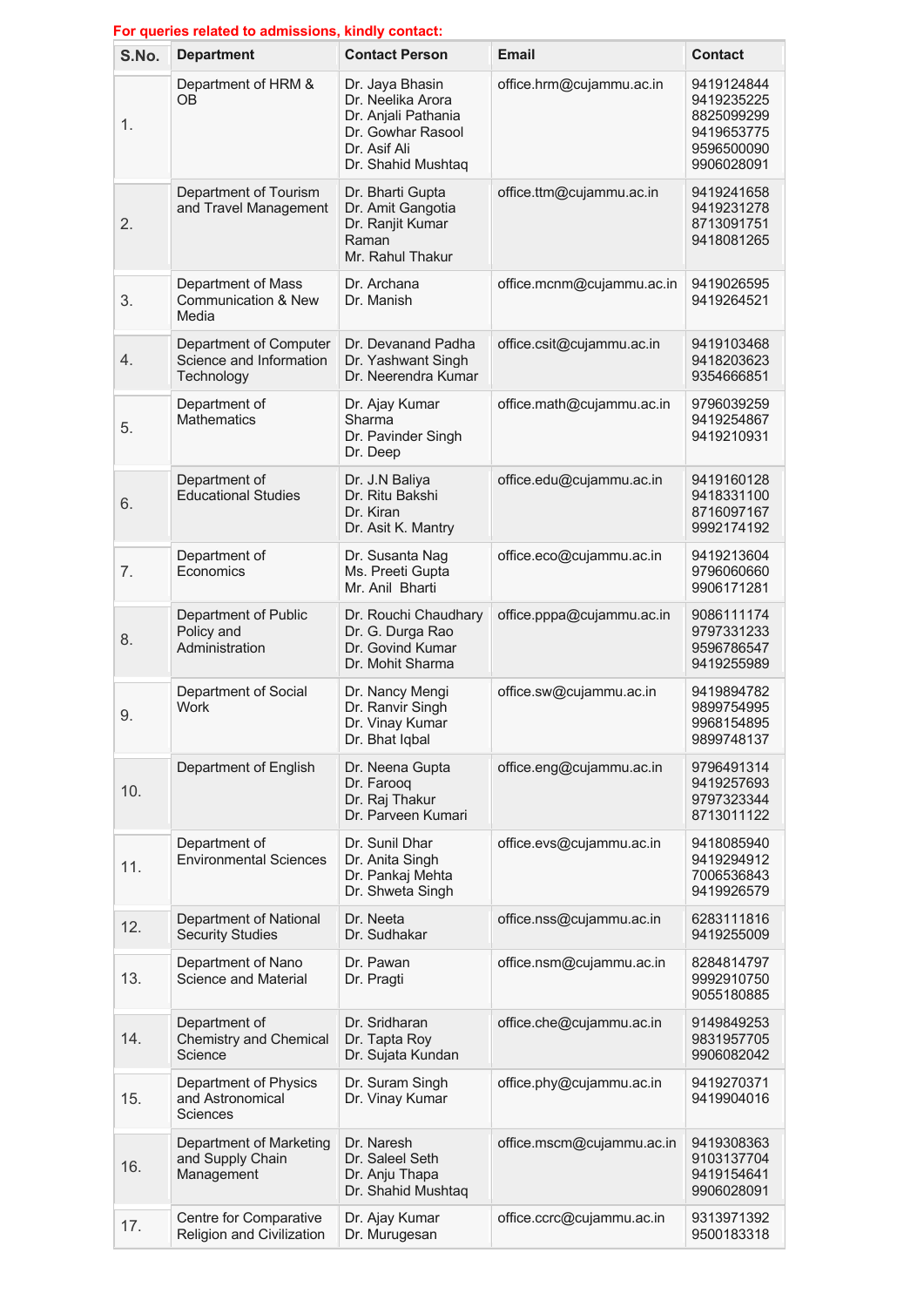| For queries related to admissions, kindly contact: |                                                                 |                                                                                                                        |                           |                                                                                  |  |  |  |
|----------------------------------------------------|-----------------------------------------------------------------|------------------------------------------------------------------------------------------------------------------------|---------------------------|----------------------------------------------------------------------------------|--|--|--|
| S.No.                                              | <b>Department</b>                                               | <b>Contact Person</b>                                                                                                  | Email                     | <b>Contact</b>                                                                   |  |  |  |
| 1.                                                 | Department of HRM &<br><b>OB</b>                                | Dr. Jaya Bhasin<br>Dr. Neelika Arora<br>Dr. Anjali Pathania<br>Dr. Gowhar Rasool<br>Dr. Asif Ali<br>Dr. Shahid Mushtaq | office.hrm@cujammu.ac.in  | 9419124844<br>9419235225<br>8825099299<br>9419653775<br>9596500090<br>9906028091 |  |  |  |
| 2.                                                 | Department of Tourism<br>and Travel Management                  | Dr. Bharti Gupta<br>Dr. Amit Gangotia<br>Dr. Ranjit Kumar<br>Raman<br>Mr. Rahul Thakur                                 | office.ttm@cujammu.ac.in  | 9419241658<br>9419231278<br>8713091751<br>9418081265                             |  |  |  |
| 3.                                                 | Department of Mass<br><b>Communication &amp; New</b><br>Media   | Dr. Archana<br>Dr. Manish                                                                                              | office.mcnm@cujammu.ac.in | 9419026595<br>9419264521                                                         |  |  |  |
| 4.                                                 | Department of Computer<br>Science and Information<br>Technology | Dr. Devanand Padha<br>Dr. Yashwant Singh<br>Dr. Neerendra Kumar                                                        | office.csit@cujammu.ac.in | 9419103468<br>9418203623<br>9354666851                                           |  |  |  |
| 5.                                                 | Department of<br><b>Mathematics</b>                             | Dr. Ajay Kumar<br>Sharma<br>Dr. Pavinder Singh<br>Dr. Deep                                                             | office.math@cujammu.ac.in | 9796039259<br>9419254867<br>9419210931                                           |  |  |  |
| 6.                                                 | Department of<br><b>Educational Studies</b>                     | Dr. J.N Baliya<br>Dr. Ritu Bakshi<br>Dr. Kiran<br>Dr. Asit K. Mantry                                                   | office.edu@cujammu.ac.in  | 9419160128<br>9418331100<br>8716097167<br>9992174192                             |  |  |  |
| 7.                                                 | Department of<br>Economics                                      | Dr. Susanta Nag<br>Ms. Preeti Gupta<br>Mr. Anil Bharti                                                                 | office.eco@cujammu.ac.in  | 9419213604<br>9796060660<br>9906171281                                           |  |  |  |
| 8.                                                 | Department of Public<br>Policy and<br>Administration            | Dr. Rouchi Chaudhary<br>Dr. G. Durga Rao<br>Dr. Govind Kumar<br>Dr. Mohit Sharma                                       | office.pppa@cujammu.ac.in | 9086111174<br>9797331233<br>9596786547<br>9419255989                             |  |  |  |
| 9.                                                 | Department of Social<br>Work                                    | Dr. Nancy Mengi<br>Dr. Ranvir Singh<br>Dr. Vinay Kumar<br>Dr. Bhat Iqbal                                               | office.sw@cujammu.ac.in   | 9419894782<br>9899754995<br>9968154895<br>9899748137                             |  |  |  |
| 10.                                                | Department of English                                           | Dr. Neena Gupta<br>Dr. Farooq<br>Dr. Raj Thakur<br>Dr. Parveen Kumari                                                  | office.eng@cujammu.ac.in  | 9796491314<br>9419257693<br>9797323344<br>8713011122                             |  |  |  |
| 11.                                                | Department of<br><b>Environmental Sciences</b>                  | Dr. Sunil Dhar<br>Dr. Anita Singh<br>Dr. Pankaj Mehta<br>Dr. Shweta Singh                                              | office.evs@cujammu.ac.in  | 9418085940<br>9419294912<br>7006536843<br>9419926579                             |  |  |  |
| 12.                                                | Department of National<br><b>Security Studies</b>               | Dr. Neeta<br>Dr. Sudhakar                                                                                              | office.nss@cujammu.ac.in  | 6283111816<br>9419255009                                                         |  |  |  |
| 13.                                                | Department of Nano<br>Science and Material                      | Dr. Pawan<br>Dr. Pragti                                                                                                | office.nsm@cujammu.ac.in  | 8284814797<br>9992910750<br>9055180885                                           |  |  |  |
| 14.                                                | Department of<br>Chemistry and Chemical<br>Science              | Dr. Sridharan<br>Dr. Tapta Roy<br>Dr. Sujata Kundan                                                                    | office.che@cujammu.ac.in  | 9149849253<br>9831957705<br>9906082042                                           |  |  |  |
| 15.                                                | Department of Physics<br>and Astronomical<br>Sciences           | Dr. Suram Singh<br>Dr. Vinay Kumar                                                                                     | office.phy@cujammu.ac.in  | 9419270371<br>9419904016                                                         |  |  |  |
| 16.                                                | Department of Marketing<br>and Supply Chain<br>Management       | Dr. Naresh<br>Dr. Saleel Seth<br>Dr. Anju Thapa<br>Dr. Shahid Mushtaq                                                  | office.mscm@cujammu.ac.in | 9419308363<br>9103137704<br>9419154641<br>9906028091                             |  |  |  |
| 17.                                                | Centre for Comparative<br>Religion and Civilization             | Dr. Ajay Kumar<br>Dr. Murugesan                                                                                        | office.ccrc@cujammu.ac.in | 9313971392<br>9500183318                                                         |  |  |  |